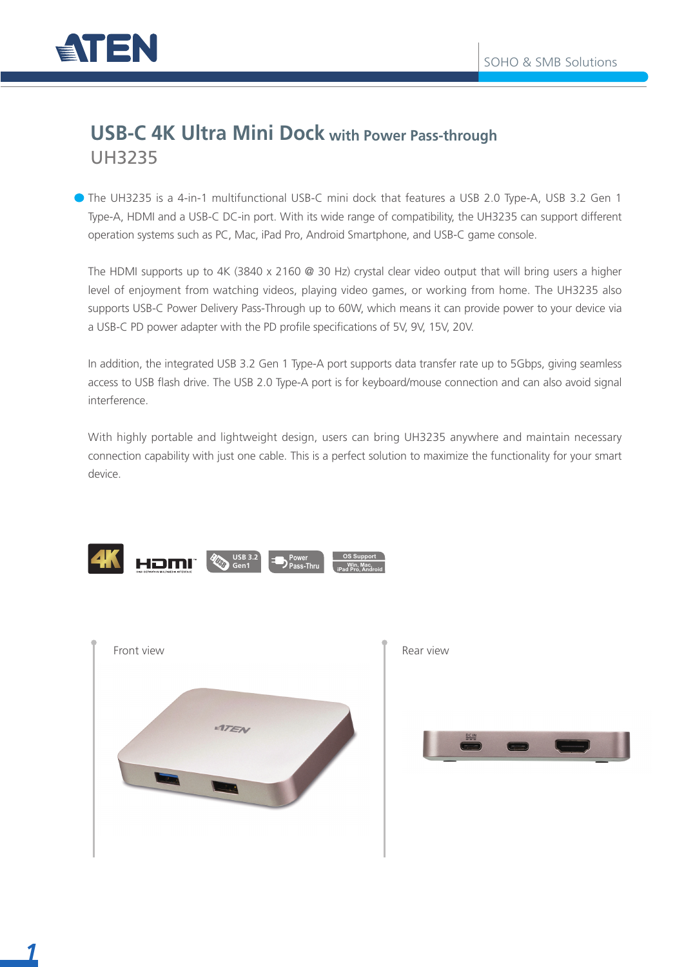

### **USB-C 4K Ultra Mini Dock with Power Pass-through** UH3235

The UH3235 is a 4-in-1 multifunctional USB-C mini dock that features a USB 2.0 Type-A, USB 3.2 Gen 1 Type-A, HDMI and a USB-C DC-in port. With its wide range of compatibility, the UH3235 can support different operation systems such as PC, Mac, iPad Pro, Android Smartphone, and USB-C game console.

The HDMI supports up to 4K (3840 x 2160 @ 30 Hz) crystal clear video output that will bring users a higher level of enjoyment from watching videos, playing video games, or working from home. The UH3235 also supports USB-C Power Delivery Pass-Through up to 60W, which means it can provide power to your device via a USB-C PD power adapter with the PD profile specifications of 5V, 9V, 15V, 20V.

In addition, the integrated USB 3.2 Gen 1 Type-A port supports data transfer rate up to 5Gbps, giving seamless access to USB flash drive. The USB 2.0 Type-A port is for keyboard/mouse connection and can also avoid signal interference.

With highly portable and lightweight design, users can bring UH3235 anywhere and maintain necessary connection capability with just one cable. This is a perfect solution to maximize the functionality for your smart device.